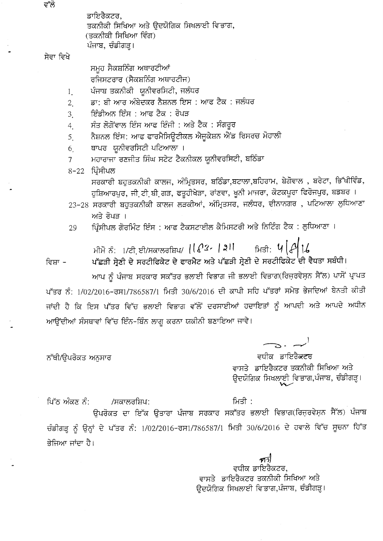ਡਾਇਰੈਕਟਰ, ਤਕਨੀਕੀ ਸਿਖਿਆ ਅਤੇ ਉਦਯੋਗਿਕ ਸਿਖਲਾਈ ਵਿਭਾਗ, (ਤਕਨੀਕੀ ਸਿਖਿਆ ਵਿੰਗ) ਪੰਜਾਬ, ਚੰਡੀਗੜ੍ਹ।

## ਸੇਵਾ ਵਿਖੇ

ਸਮੁਹ ਸੈਕਸ਼ਨਿੰਗ ਅਥਾਰਟੀਆਂ ਰਜਿਸਟਰਾਰ (ਸੈਕਸ਼ਨਿੰਗ ਅਥਾਰਟੀਜ)

- ਪੰਜਾਬ ਤਕਨੀਕੀ ਯੂਨੀਵਰਸਿਟੀ, ਜਲੰਧਰ  $1_{.}$
- ਡਾ: ਬੀ ਆਰ ਅੰਬੇਦਕਰ ਨੈਸ਼ਨਲ ਇਸ : ਆਫ ਟੈਕ : ਜਲੰਧਰ  $\overline{2}$
- ਇੰਡੀਅਨ ਇੰਸ : ਆਫ ਟੈਕ : ਰੋਪੜ  $\mathfrak{Z}$ .
- ਸੰਤ ਲੋਗੋਂਵਾਲ ਇੰਸ ਆਫ ਇੰਜੀ : ਅਤੇ ਟੈਕ : ਸੰਗਰੂਰ  $4<sub>1</sub>$
- ਨੈਸ਼ਨਲ ਇੰਸ: ਆਫ ਫਾਰਮੈਸਿਊਟੀਕਲ ਐਜੁਕੇਸ਼ਨ ਐਂਡ ਰਿਸਰਚ ਮੋਹਾਲੀ 5.
- ਥਾਪਰ ਯੂਨੀਵਰਸਿਟੀ ਪਟਿਆਲਾ ।  $6<sub>1</sub>$

/ਸਕਾਲਰਸ਼ਿਪ:

- ਮਹਾਰਾਜਾ ਰਣਜੀਤ ਸਿੰਘ ਸਟੇਟ ਟੈਕਨੀਕਲ ਯੂਨੀਵਰਸਿਟੀ, ਬਠਿੰਡਾ  $\overline{7}$
- 8-22 ਪ੍ਰਿੰਸੀਪਲ

ਸਰਕਾਰੀ ਬਹੁਤਕਨੀਕੀ ਕਾਲਜ, ਅੰਮ੍ਰਿਤਸਰ, ਬਠਿੰਡਾ,ਬਟਾਲਾ,ਬਹਿਰਾਮ, ਬੇਗੋਵਾਲ , ਬਰੇਟਾ, ਭਿੱਖੀਵਿੰਡ, ਹਸ਼ਿਆਰਪਰ, ਜੀ ਟੀ ਬੀ ਗੜ, ਫਤੁਹੀਖੇੜਾ, ਰਾਂਣਵਾ, ਖੁਨੀ ਮਾਜਰਾ, ਕੋਟਕਪੂਰਾ ਫਿਰੋਜਪੁਰ, ਬਡਬਰ ।

- 23-28 ਸਰਕਾਰੀ ਬਹੁਤਕਨੀਕੀ ਕਾਲਜ ਲੜਕੀਆਂ, ਅੰਮ੍ਰਿਤਸਰ, ਜਲੰਧਰ, ਦੀਨਾਨਗਰ , ਪਟਿਆਲਾ ਲੁਧਿਆਣਾ ਅਤੇ ਰੋਪਤ ।
- ਪਿੰਸੀਪਲ ਗੋਰਮਿੰਟ ਇੰਸ : ਆਫ ਟੈਕਸਟਾਈਲ ਕੈਮਿਸਟਰੀ ਅਤੇ ਨਿਟਿੰਗ ਟੈਕ : ਲੁਧਿਆਣਾ । 29

ਮੀਮੋਂ ਨੰ: 1/ਟੀ ਈ/ਸਕਾਲਰਸ਼ਿਪ/ 
$$
||Q3 - |3||
$$
 ਸਿਤੀ:  $4|Q|$   $|6|$ 

ਪੱਛੜੀ ਸ੍ਰੇਣੀ ਦੇ ਸਰਟੀਫਿਕੇਟ ਦੇ ਫਾਰਮੈਟ ਅਤੇ ਪੱਛੜੀ ਸ੍ਰੇਣੀ ਦੇ ਸਰਟੀਫਿਕੇਟ ਦੀ ਵੈਧਤਾ ਸਬੰਧੀ। ਵਿਸ਼ਾ -

ਆਪ ਨੂੰ ਪੰਜਾਬ ਸਰਕਾਰ ਸਕੱਤਰ ਭਲਾਈ ਵਿਭਾਗ ਜੀ ਭਲਾਈ ਵਿਭਾਗ(ਰਿਜ਼ਰਵੇਸ਼ਨ ਸੈੱਲ) ਪਾਸੋਂ ਪ੍ਰਾਪਤ ਪੱਤਰ ਨੰ: 1/02/2016-ਰਸ1/786587/1 ਮਿਤੀ 30/6/2016 ਦੀ ਕਾਪੀ ਸਹਿ ਪੱਤਰਾਂ ਸਮੇਤ ਭੇਜਦਿਆਂ ਬੇਨਤੀ ਕੀਤੀ ਜਾਂਦੀ ਹੈ ਕਿ ਇਸ ਪੱਤਰ ਵਿੱਚ ਭਲਾਈ ਵਿਭਾਗ ਵੱਲੋਂ ਦਰਸਾਈਆਂ ਹਦਾਇਤਾਂ ਨੂੰ ਆਪਦੀ ਅਤੇ ਆਪਦੇ ਅਧੀਨ ਆਉਂਦੀਆਂ ਸੰਸਥਾਵਾਂ ਵਿੱਚ ਇੰਨ-ਬਿੰਨ ਲਾਗੂ ਕਰਨਾ ਯਕੀਨੀ ਬਣਾਇਆ ਜਾਵੇ।

 $\rightarrow$   $\rightarrow$ 

ਵਧੀਕ ਡਾਇਰੈ<del>ਕਟ</del>ਰ ਵਾਸਤੇ ਡਾਇਰੈਕਟਰ ਤਕਨੀਕੀ ਸਿਖਿਆ ਅਤੇ ਉਦਯੋਗਿਕ ਸਿਖਲਾਈ ਵਿਭਾਗ,ਪੰਜਾਬ, ਚੰਡੀਗੜ੍ਹ।

ਨੱਥੀ/ਉਪਰੋਕਤ ਅਨੁਸਾਰ

ਪਿੱਠ ਅੰਕਣ ਨੰ:

ਮਿਤੀ :

ਉਪਰੋਕਤ ਦਾ ਇੱਕ ਉਤਾਰਾ ਪੰਜਾਬ ਸਰਕਾਰ ਸਕੱਤਰ ਭਲਾਈ ਵਿਭਾਗ(ਰਿਜ਼ਰਵੇਸ਼ਨ ਸੈੱਲ) ਪੰਜਾਬ ਚੰਡੀਗੜ੍ਹ ਨੂੰ ਉਨ੍ਹਾਂ ਦੇ ਪੱਤਰ ਨੰ: 1/02/2016–ਰਸ1/786587/1 ਮਿਤੀ 30/6/2016 ਦੇ ਹਵਾਲੇ ਵਿੱਚ ਸੂਚਨਾ ਹਿੱਤ ਭੇਜਿਆ ਜਾਂਦਾ ਹੈ।

> ਾ *ਅ*ਹੀ<br>ਵਧੀਕ ਡਾਇਰੈਕਟਰ, ਵਾਸਤੇ ਡਾਇਰੈਕਟਰ ਤਕਨੀਕੀ ਸਿਖਿਆ ਅਤੇ ਉਦਯੋਗਿਕ ਸਿਖਲਾਈ ਵਿਭਾਗ,ਪੰਜਾਬ, ਚੰਡੀਗੜ੍ਹ।

ਵੱਲੋ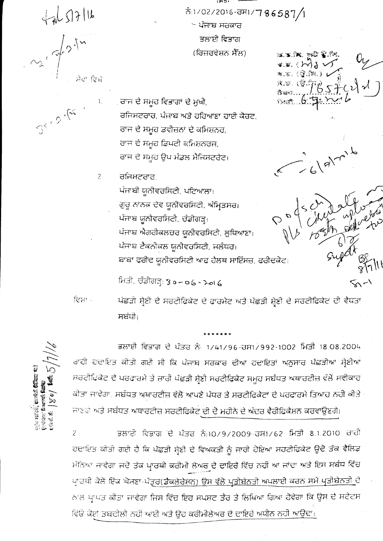$47657116$ ਸੇਵਾ ਵਿਖੇ

 $\mathbb{S}^{k} \supset \mathbb{S}^{k}$ 

 $\mathbf{l}$  .

 $\overline{c}$ 

ਨੰ:1/02/2016-ਰਸ1/786587/1 ~ ਪੰਜਾਬ ਸਰਕਾਰ ਭਲਾਈ ਵਿਭਾਗ (ਰਿਜ਼ਰਵੇਸ਼ਨ ਸੈੱਲ)

IM DI

ਰਾਜ ਦੇ ਸਮੂਹ ਵਿਭਾਗਾਂ ਦੇ ਮੁਖੀ, ਰਜਿਸਟਰਾਰ, ਪੰਜਾਬ ਅਤੇ ਹਰਿਆਣਾ ਹਾਈ ਕੋਰਟ, ਰਾਜ ਦੇ ਸਮੂਹ ਡਵੀਜ਼ਨਾਂ ਦੇ ਕਮਿਸ਼ਨਰ, ਰਾਜ ਦੇ ਸਮੂਹ ਡਿਪਟੀ ਕਮਿਸ਼ਨਰਜ਼, ਰਾਜ ਦੇ ਸਮੂਹ ਉਪ ਮੰਡਲ ਮੈਜਿਸਟਰੇਟ।

ਰਜਿਸਟਰਾਰ

ਪੰਜਾਬੀ ਯੂਨੀਵਰਸਿਟੀ, ਪਟਿਆਲਾ। ਗੁਰੂ ਨਾਨਕ ਦੇਵ ਯੂਨੀਵਰਸਿਟੀ, ਅੰਮ੍ਰਿਤਸਰ। ਪੰਜਾਬ ਯੂਨੀਵਰਸਿਟੀ, ਚੰਡੀਗੜ੍ਹ। ਪੰਜਾਬ ਐਗਰੀਕਲਚਰ ਯੂਨੀਵਰਸਿਟੀ, ਲੁਧਿਆਣਾ। ਪੰਜਾਬ ਟੈਕਨੀਕਲ ਯੂਨੀਵਰਸਿਟੀ, ਜਲੰਧਰ। ਬਾਬਾ ਫਰੀਦ ਯੂਨੀਵਰਸਿਟੀ ਆਫ ਹੈਲਥ ਸਾਇੰਸਜ਼, ਫਰੀਦਕੋਟ।

ਮਿਤੀ, ਚੰਡੀਗੜ੍ਹ: 30-06-2016

ਵਿਸਾ-

ਪੱਛੜੀ ਸ਼੍ਰੇਣੀ ਦੇ ਸਰਟੀਫ਼ਿਕੇਟ ਦੇ ਫਾਰਮੈਟ ਅਤੇ ਪੱਛੜੀ ਸ਼੍ਰੇਣੀ ਦੇ ਸਰਟੀਫਿਕੇਟ ਦੀ ਵੈਧਤਾ ਸਬੰਧੀ।

oja násk, preká **(Cerre**)<br>Quádar francú **kor**<br>Cerre (cerre) **kor** 

ਭਲਾਈ ਵਿਭਾਗ ਦੇ ਪੱਤਰ ਨੂੰ: 1/41/96-ਰਸ1/992-1002 ਮਿਤੀ 18.08.2004 ਰਾਹੀ ਹਦਾਇਤ ਕੀਤੀ ਗਈ ਸੀ ਕਿ ਪੰਜਾਬ ਸਰਕਾਰ ਦੀਆਂ ਹਦਾਇਤਾਂ ਅਨੁਸਾਰ ਪੱਛੜੀਆਂ ਸ਼੍ਰੇਣੀਆਂ ਸਰਟੀਫਿਕੇਟ ਦੇ ਪਰਫਾਰਮੇ ਤੇ ਜ਼ਾਰੀ ਪੱਛੜੀ ਸ਼੍ਰੇਣੀ ਸਰਟੀਫਿਕੇਟ ਸਮੂਹ ਸਬੰਧਤ ਅਥਾਰਟੀਜ਼ ਵੱਲੋਂ ਸਵੀਕਾਰ ਕੀਤਾ ਜਾਵੇਗਾ. ਸਬੰਧਤ ਅਥਾਰਟੀਜ਼ ਵੱਲੋਂ ਆਪਣੇ ਪੱਧਰ ਤੇ ਸਰਟੀਫਿਕੇਟਾਂ ਦੇ ਪਰਫਾਰਮੇ ਤਿਆਹ ਨਹੀਂ ਕੀਤੇ

ਜਾਣਗੇ ਅਤੇ ਸਬੰਧਤ ਅਥਾਰਟੀਜ਼ ਸਰਟੀਫਿਕੇਟ ਦੀ ਦੋ ਮਹੀਨੇ ਦੇ ਅੰਦਰ ਵੈਰੀਫਿਕੇਸ਼ਨ ਕਰਵਾਉਣਗੇ।

ਭਲਾਈ ਵਿਭਾਗ ਦੇ ਪੱਤਰ ਨੰ:10/9/2009-ਰਸ1/62 ਮਿਤੀ 8.1.2010 ਰਾਹੀ  $\overline{c}$ ਹਦਾਇਤ ਕੀਤੀ ਗਈ ਹੈ ਕਿ ਪੱਛੜੀ ਸ਼੍ਰੇਣੀ ਦੇ ਵਿਅਕਤੀ ਨੂੰ ਜਾਰੀ ਹੋਇਆ ਸਰਟੀਫਿਕੇਟ ਉਦੋਂ ਤੱਕ ਵੈਲਿਡ ਮੰਨਿਆ ਜਾਵੇਗਾ ਜਦੋਂ ਤੱਕ ਪ੍ਰਾਰਥੀ ਕਰੀਮੀ ਲੇਅਰ ਦੇ ਦਾਇਰੋਂ ਵਿੱਚ ਨਹੀਂ ਆ ਜਾਂਦਾ ਅਤੇ ਇਸ ਸਬੰਧ ਵਿੱਚ ਪ੍ਰਾਰਥੀ ਕੋਲੋਂ ਇੱਕ ਘੋਸ਼ਣਾ-ਪੱਤ੍ਰਰ(ਡੈਕ<u>ਲੇਰੇਸ਼ਨ) ਉਸ ਵੱਲੋਂ ਪ੍ਰਤੀਬੇਨਤੀ ਅਪਲਾਈ ਕਰਨ ਸਮੇਂ ਪ੍ਰਤੀਬੇਨਤੀ ਦ</u>ੇ ਨਾਲ ਪ੍ਰਾਪਤ ਕੀਤਾ ਜਾਵੇਗਾ ਜਿਸ ਵਿੱਚ ਇਹ ਸਪਸ਼ਟ ਤੌਰ ਤੇ ਲਿਖਿਆ ਗਿਆ ਹੋਵੇਗਾ ਕਿ ਉਸ ਦੇ ਸਟੇਟਸ ਵਿੱਓ ਕੋਈ ਤਬਦੀਲੀ ਨਹੀਂ ਆਈ ਅਤੇ ਉਹ ਕਰੀਮੀਲੇਅਰ ਦੇ ਦਾਇਰੇ ਅਧੀਨ ਨਹੀਂ <u>ਆਉਂਦਾ।</u>

双高仪 贼 拿胸  $\mathbf{x} \in \mathcal{M}$  $\mathcal{H}(\mathbb{Z},\mathbb{Z})\subset\mathbb{Z}$ 茂.35. (曾.印

 $6177$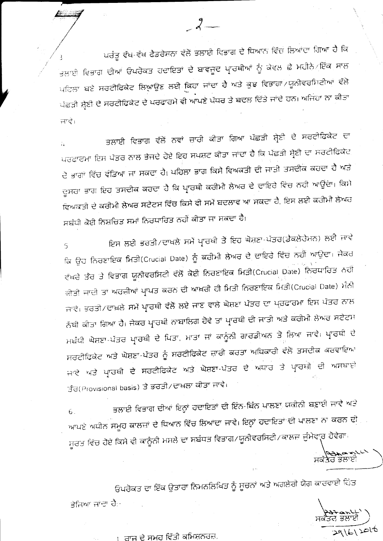ਪਰੰਤੂ ਵੱਖ-ਵੱਖ ਫੈਡਰੇਸ਼ਨਾ ਵੱਲੋਂ ਭਲਾਈ ਵਿਭਾਗ ਦੇ ਧਿਆਨ ਵਿੱਚ ਲਿਆਂਦਾ ਗਿਆ ਹੈ ਕਿ <sub>ਭਲਾਈ</sub> ਵਿਭਾਗ ਦੀਆਂ ਓਪਰੋਕਤ ਹਦਾਇਤਾਂ <mark>ਦੇ ਬਾਵਜੂਦ ਪ੍ਰਾਰਥੀਆਂ</mark> ਨੂੰ ਕੇਵਲ ਛੇ ਮਹੀਨੇਂ*਼*ਇੱਕ ਸਾਲ ਪਹਿਲਾ ਬਣੇ ਸਰਟੀਫਿਕੇਟ ਲਿਆਉਣ ਲਈ ਕਿਹਾ ਜਾਂਦਾ ਹੈ ਅਤੇ ਕੁਝ ਵਿਭਾਗਾਂ/ਯੂਨੀਵਰਸਿਟੀਆਂ ਵੱਲੋਂ ਪੱਛੜੀ ਸ਼੍ਰੇਣੀ ਦੇ ਸਰਟੀਫਿਕੇਟ ਦੇ ਪਰਫਾਰਮੇ ਵੀ ਆਪਣੇ ਪੱਧਰ ਤੇ ਬਦਲ ਦਿੱਤੇ ਜਾਂਦੇ ਹਨ। ਅਜਿਹਾ ਨਾ ਕੀਤਾ ਜਾਵੇ।

ਭਲਾਈ ਵਿਭਾਗ ਵੱਲੋਂ ਨਵਾਂ ਜ਼ਾਰੀ ਕੀਤਾ ਗਿਆ ਪੱਛੜੀ ਸ਼੍ਰੇਣੀ ਦੇ ਸਰਟੀਫਿਕੇਟ ਦਾ ਪਰਫਾਰਮਾ ਇਸ ਪੱਤਰ ਨਾਲ ਭੇਜਦੇ ਹੋਏ ਇਹ ਸਪਸ਼ਟ ਕੀਤਾ ਜਾਂਦਾ ਹੈ ਕਿ ਪੱਛੜੀ ਸ਼੍ਰੇਣੀ ਦਾ ਸਰਟੀਫਿਕੇਟ ਦੋ ਭਾਗਾਂ ਵਿੱਚ ਵੰਡਿਆ ਜਾ ਸਕਦਾ ਹੈ। ਪਹਿਲਾ ਭਾਗ ਕਿਸੇ ਵਿਅਕਤੀ ਦੀ ਜਾਤੀ ਤਸਦੀਕ ਕਰਦਾ ਹੈ ਅਤੇ ਦੂਸਰਾ ਭਾਗ ਇਹ ਤਸਦੀਕ ਕਰਦਾ ਹੈ ਕਿ ਪ੍ਰਾਰਥੀ ਕਰੀਮੀ ਲੇਅਰ ਦੇ ਦਾਇਰੇ ਵਿੱਚ ਨਹੀ ਆਉਂਦਾ। ਕਿਸੇ ਵਿਅਕਤੀ ਦੇ ਕਰੀਮੀ ਲੇਅਰ ਸਟੇਟਸ ਵਿੱਚ ਕਿਸੇ ਵੀ ਸਮੇਂ ਬਦਲਾਵ ਆ ਸਕਦਾ ਹੈ, ਇਸ ਲਈ ਕਰੀਮੀ ਲੇਅਰ ਸਬੰਧੀ ਕੋਈ ਨਿਸ਼ਚਿਤ ਸਮਾਂ ਨਿਰਧਾਰਿਤ ਨਹੀਂ ਕੀਤਾ ਜਾ ਸਕਦਾ ਹੈ।

ਇਸ ਲਈ ਭਰਤੀ/ਦਾਖਲੇ ਸਮੇਂ ਪ੍ਰਾਰਥੀ ਤੋਂ ਇਹ ਘੋਸ਼ਣਾ-ਪੱਤਰ(ਡੈਕਲੇਰੇਮਨ) ਲਈ ਜਾਵੇ ਕਿ ਉਹ ਨਿਰਣਾਇਕ ਮਿਤੀ(Crucial Date) ਨੂੰ ਕਰੀਮੀ ਲੇਅਰ ਦੇ ਦਾਇਰੇ ਵਿੱਚ ਨਹੀਂ ਆਉਦਾ। ਜੇਕਰ ਵੱਖਰੇ ਤੌਰ ਤੇ ਵਿਭਾਗ ਯੂਨੀਵਰਸਿਟੀ ਵੱਲੋਂ ਕੋਈ ਨਿਰਣਾਇਕ ਮਿਤੀ(Crucial Date) ਨਿਰਧਾਰਿਤ ਨਹੀਂ ਕੀਤੀ ਜਾਦੀ ਤਾਂ ਅਰਜ਼ੀਆਂ ਪ੍ਰਾਪਤ ਕਰਨ ਦੀ ਆਖ਼ਰੀ ਹੀ ਮਿਤੀ ਨਿਰਣਾਇਕ ਮਿਤੀ(Crucial Date) ਮੰਨੀ ਜਾਵੇ। ਭਰਤੀ/ਦਾਖ਼ਲੇ ਸਮੇਂ ਪ੍ਰਾਰਥੀ ਵੱਲੋਂ ਲਏ ਜਾਣ ਵਾਲੇ ਘੋਸ਼ਣਾ ਪੱਤਰ ਦਾ ਪ੍ਰਰਫਾਰਮਾ ਇਸ ਪੱਤਰ ਨਾਲ ਨੱਬੀ ਕੀਤਾ ਗਿਆ ਹੈ। ਜੇਕਰ ਪ੍ਰਾਰਥੀ ਨਾਬਾਲਿਗ ਹੋਵੇ ਤਾਂ ਪ੍ਰਾਰਥੀ ਦੀ ਜਾਤੀ ਅਤੇ ਕਰੀਮੀ ਲੇਅਰ ਸਟੇਟਸ ਮਬੰਧੀ ਘੋਸ਼ਣਾ-ਪੱਤਰ ਪ੍ਰਾਰਥੀ ਦੇ ਪਿਤਾ, ਮਾਤਾ ਜਾਂ ਕਾਨੂੰਨੀ ਗਾਰਡੀਅਨ ਤੋਂ ਲਿਆ ਜਾਵੇ। ਪ੍ਰਾਰਥੀ ਦੇ ਸਰਟੀਫਿਕੇਟ ਅਤੇ ਘੋਸ਼ਣਾ-ਪੱਤਰ ਨੂੰ ਸਰਟੀਫਿਕੇਟ ਜ਼ਾਰੀ ਕਰਤਾ ਅਧਿਕਾਰੀ ਵੱਲੋਂ ਤਸਦੀਕ ਕਰਵਾਇਆ ਜਾਵੇ ਅਤੇ ਪ੍ਰਾਰਥੀ ਦੇ ਸਰਟੀਫਿਕੇਟ ਅਤੇ ਘੋਸ਼ਣਾ-ਪੱਤਰ ਦੇ ਅਧਾਰ ਤੇ ਪ੍ਰਾਰਥੀ ਦੀ ਅਸਥਾਈ ਤੰਰ(Provisional basis) ਤੇ ਭਰਤੀ/ਦਾਖ਼ਲਾ ਕੀਤਾ ਜਾਵੇ।

ਭਲਾਈ ਵਿਭਾਗ ਦੀਆਂ ਇਨ੍ਹਾਂ ਹਦਾਇਤਾਂ ਦੀ ਇੰਨ-ਬਿੰਨ ਪਾਲਣਾ ਯਕੀਨੀ ਬਣਾਈ ਜਾਵੇ ਅਤੇ  $6.$ ਆਪਣੇ ਅਧੀਨ ਸਮੂਹ ਕਾਲਜ਼ਾਂ ਦੇ ਧਿਆਨ ਵਿੱਚ ਲਿਆਂਦਾ ਜਾਵੇ। ਇਨ੍ਹਾਂ ਹਦਾਇਤਾਂ ਦੀ ਪਾਲਣਾ ਨਾ ਕਰਨ ਦੀ ਸੂਰਤ ਵਿੱਚ ਹੋਏ ਕਿਸੇ ਵੀ ਕਾਨੂੰਨੀ ਮਸਲੇ ਦਾ ਸਬੰਧਤ ਵਿਭਾਗ/ਯੂਨੀਵਰਸਿਟੀ/ਕਾਲਜ਼ ਜੁੰਮੇਵਾ੍ਰ ਹੋਵੇਗਾ।

ਸਕੱਤਰ ਭਲਾਈ<br>ਸਕੱਤਰ ਭਲਾਈ

 $291612016$ 

ਓਪਰੋਕਤ ਦਾ ਇੱਕ ਉਤਾਰਾ ਨਿਮਨਲਿਖਿਤ ਨੂੰ ਸੂਚਨਾਂ ਅਤੇ ਅਗਲੇਗੇ ਯੋਗ ਕਾਰਵਾਈ ਹਿੱਤ ਭੇਜਿਆ ਜਾਂਦਾ ਹੈ:-

1. ਰਾਜ ਦੇ ਸਮੂਹ ਵਿੱਤੀ ਕਮਿਸ਼ਨਰਜ਼,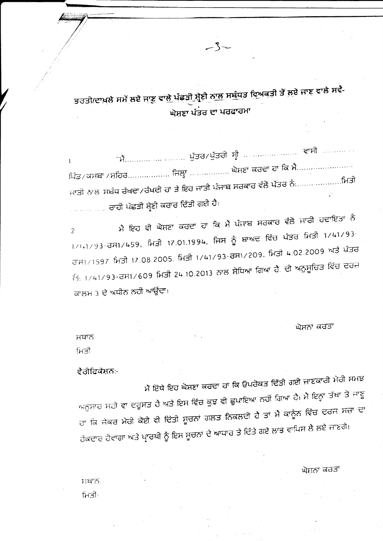ਭਰਤੀ/ਦਾਖ਼ਲੇ ਸਮੇਂ ਲਏ ਜਾਣੂ ਵਾ<u>ਲੇ ਪੱਛੜੀ ਸ਼੍ਰੇ</u>ਣੀ <u>ਨਾਲ ਸਬੰਧਤ ਵਿਅਕ</u>ਤੀ ਤੋਂ ਲਏ ਜਾਣੂ ਵਾਲੇ ਸਵੈ-ਘੋਸ਼ਣਾ ਪੱਤਰ ਦਾ ਪਰਫਾਰਮਾ

 $\mathbf{1}$ ਪਿੰਡ / ਕਸਬਾ / ਸ਼ਹਿਰ……………… ਜਿਲ੍ਹਾ ……………… ਘੋਸ਼ਣਾ ਕਰਦਾ ਹਾਂ ਕਿ ਮੈ……………………… ਜਾਤੀ ਨਾਲ ਸਬੰਧ ਰੱਖਦਾ/ਰੱਖਦੀ ਹਾਂ ਤੇ ਇਹ ਜਾਤੀ ਪੰਜਾਬ ਸਰਕਾਰ ਵੱਲੋਂ ਪੱਤਰ ਨੰ $\ldots\ldots\ldots\ldots\ldots$ ਸ਼ਿਤੀ ਼ ਰਾਹੀਂ ਪੱਛੜੀ ਸ਼੍ਰੇਣੀ ਕਰਾਰ ਦਿੱਤੀ ਗਈ ਹੈ।

ਮੈਂ ਇਹ ਵੀ ਘੋਸ਼ਣਾ ਕਰਦਾ ਹਾਂ ਕਿ ਮੈਂ ਪੰਜਾਬ ਸਰਕਾਰ ਵੱਲੋਂ ਜ਼ਾਰੀ ਹਦਾਇਤਾਂ ਨੰ  $\overline{a}$  $1/(41/93)$ -ਰਸ1/459, ਮਿਤੀ 17.01.1994, ਜਿਸ ਨੂੰ ਬਾਅਦ ਵਿੱਚ ਪੱਤਰ ਮਿਤੀ 1/41/93-ਰਾਸ1/1597 ਮਿਤੀ 17.08.2005, ਮਿਤੀ 1/41/93-ਰਸ1/209, ਮਿਤੀ 4.02.2009 ਅਤੇ ਪੱਤਰ  $\tilde{t}$ <sub>5: 1/41/93-ਰਸ1/609</sub> ਮਿਤੀ 24.10.2013 ਨਾਲ ਸੋਧਿਆ ਗਿਆ ਹੈ. ਦੀ ਅਨੁਸੂਚਿਤ ਵਿੱਚ ਦਰਜ਼ ਕਾਲਮ 3 ਦੇ ਅਧੀਨ ਨਹੀਂ ਆਉਂਦਾ।

ਘੋਸ਼ਨਾ ਕਰਤਾ

ਸਥਾਨ ਮਿਤੀ

ਵੈਰੀਫਿਕੇਸ਼ਨ:-

ਮੈਂ ਇੱਥੇ ਇਹ ਘੋਸ਼ਣਾ ਕਰਦਾ ਹਾਂ ਕਿ ਓਪਰੋਕਤ ਦਿੱਤੀ ਗਈ ਜਾਣਕਾਰੀ ਮੇਰੀ ਸਮਝ ਅਨੁਸਾਰ ਸਹੀ ਵਾ ਦਰੁਸਤ ਹੈ ਅਤੇ ਇਸ ਵਿੱਚ ਕੁਝ ਵੀ ਛੁਪਾਇਆ ਨਹੀਂ ਗਿਆ ਹੈ। ਮੈਂ ਇਨ੍ਹਾਂ ਤੱਥਾਂ ਤੋਂ ਜਾਣੂ ਹਾ ਕਿ ਜੇਕਰ ਮੇਰੀ ਕੋਈ ਵੀ ਦਿੱਤੀ ਸੂਚਨਾਂ ਗਲਤ ਨਿਕਲਦੀ ਹੈ ਤਾਂ ਮੈਂ ਕਾਨੂੰਨ ਵਿੱਚ ਦਰਜ ਸਜ਼ਾ ਦਾ ਹੱਕਦਾਰ ਹੋਵਾਂਗਾ ਅਤੇ ਪ੍ਰਾਰਥੀ ਨੂੰ ਇਸ ਸੂਚਨਾਂ ਦੇ ਆਧਾਰ ਤੇ ਦਿੱਤੇ ਗਏ ਲਾਭ ਵਾਪਿਸ ਲੈ ਲਏ ਜਾਣਗੇ।

ਘੋਸ਼ਨਾ ਕਰਤਾ

 $T1475$ ਮਿਤੀ: